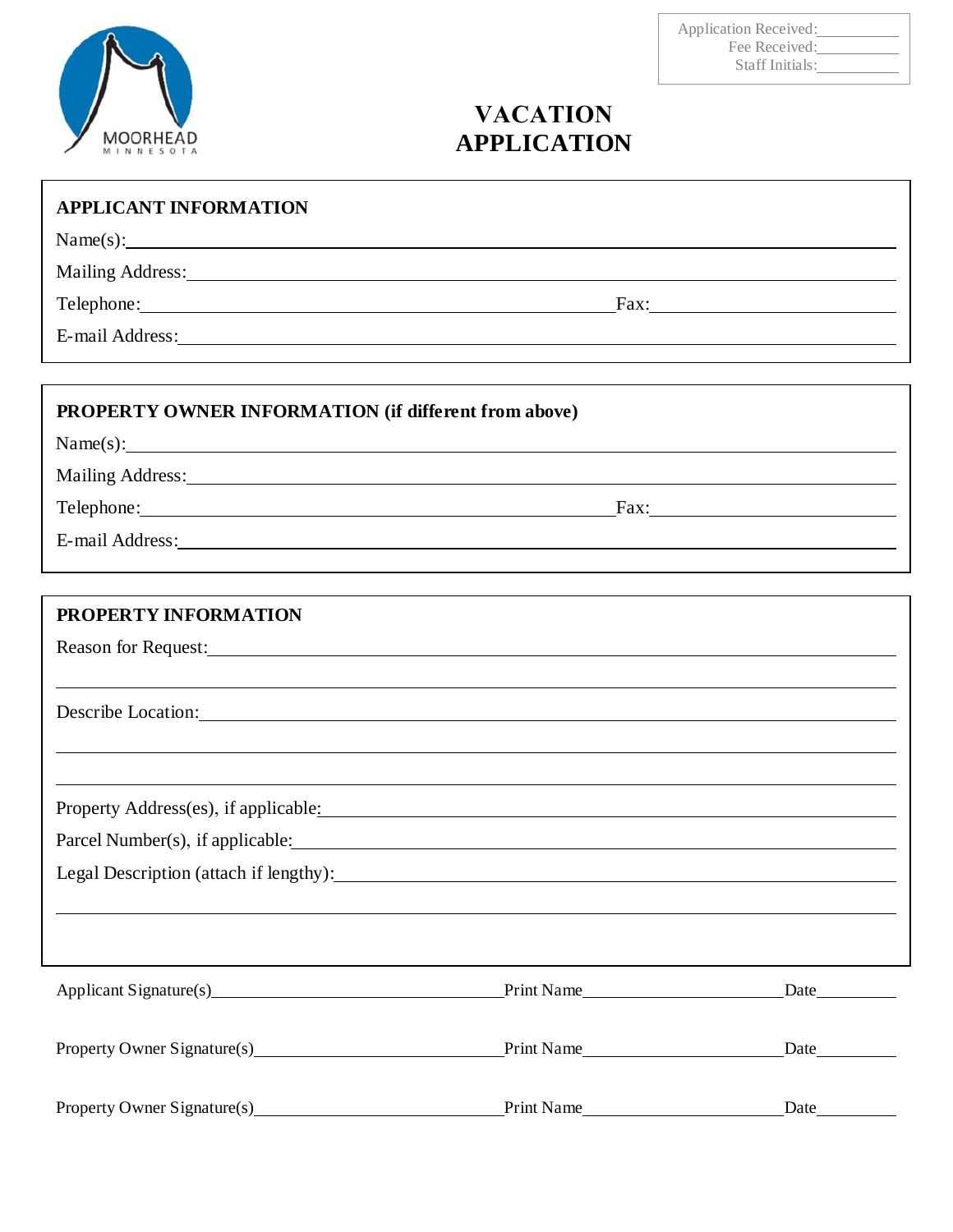# $\begin{array}{c}\n\text{MOORHEAD} \\
\text{MINNE SOTA}\n\end{array}$

## Application Received: Fee Received: Staff Initials:

# **VACATION APPLICATION**

| <b>APPLICANT INFORMATION</b>                                                                                                                                                                                                   |            |  |
|--------------------------------------------------------------------------------------------------------------------------------------------------------------------------------------------------------------------------------|------------|--|
| Name(s):                                                                                                                                                                                                                       |            |  |
| Mailing Address: National Address: National Address: National Address: National Address: National Address: National Address: National Address: National Address: National Address: National Address: National Address: Nationa |            |  |
| Telephone: Fax: Fax:                                                                                                                                                                                                           |            |  |
| E-mail Address: Note and Address and Address and Address and Address and Address and Address and Address and Address and Address and Address and Address and Address and Address and Address and Address and Address and Addre |            |  |
|                                                                                                                                                                                                                                |            |  |
| <b>PROPERTY OWNER INFORMATION (if different from above)</b>                                                                                                                                                                    |            |  |
| Name(s):                                                                                                                                                                                                                       |            |  |
| Mailing Address: National Address: National Address: National Address: National Address: National Address: National Address: National Address: National Address: National Address: National Address: National Address: Nationa |            |  |
| Telephone: Fax: Fax:                                                                                                                                                                                                           |            |  |
| E-mail Address: Note and Address and Address and Address and Address and Address and Address and Address and Address and Address and Address and Address and Address and Address and Address and Address and Address and Addre |            |  |
|                                                                                                                                                                                                                                |            |  |
| <b>PROPERTY INFORMATION</b>                                                                                                                                                                                                    |            |  |
|                                                                                                                                                                                                                                |            |  |
|                                                                                                                                                                                                                                |            |  |
| Describe Location: New York Contract Contract Contract Contract Contract Contract Contract Contract Contract Contract Contract Contract Contract Contract Contract Contract Contract Contract Contract Contract Contract Contr |            |  |
|                                                                                                                                                                                                                                |            |  |
|                                                                                                                                                                                                                                |            |  |
| Property Address(es), if applicable: Manual Manual Manual Manual Manual Manual Manual Manual Manual Manual Manual Manual Manual Manual Manual Manual Manual Manual Manual Manual Manual Manual Manual Manual Manual Manual Man |            |  |
|                                                                                                                                                                                                                                |            |  |
| Legal Description (attach if lengthy):                                                                                                                                                                                         |            |  |
|                                                                                                                                                                                                                                |            |  |
|                                                                                                                                                                                                                                |            |  |
|                                                                                                                                                                                                                                |            |  |
| Applicant Signature(s) Print Name Date Date                                                                                                                                                                                    |            |  |
| Property Owner Signature(s) Print Name Print Name                                                                                                                                                                              |            |  |
|                                                                                                                                                                                                                                |            |  |
| Property Owner Signature(s) 2012 1922                                                                                                                                                                                          | Print Name |  |